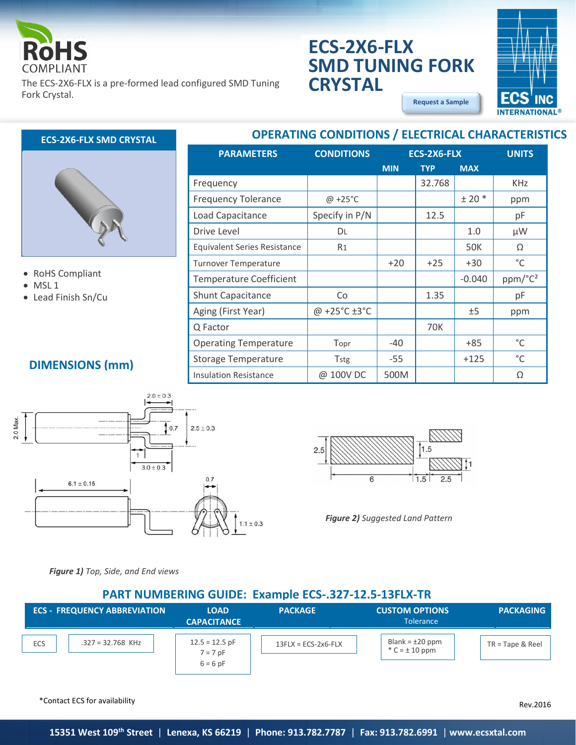

The ECS-2X6-FLX is a pre-formed lead configured SMD Tuning Fork Crystal.

# **ECS-2X6-FLX SMD TUNING FORK CRYSTAL**

**OPERATING CONDITIONS / ELECTRICAL CHARACTERISTICS**

**[Request a Sample](http://ecsxtalportal.com/samplepilot/samplerequest.php)**





#### • RoHS Compliant

- MSL 1
- Lead Finish Sn/Cu

| <b>PARAMETERS</b>                   | <b>CONDITIONS</b>  | ECS-2X6-FLX |            | <b>UNITS</b> |                     |
|-------------------------------------|--------------------|-------------|------------|--------------|---------------------|
|                                     |                    | <b>MIN</b>  | <b>TYP</b> | <b>MAX</b>   |                     |
| Frequency                           |                    |             | 32.768     |              | <b>KHz</b>          |
| <b>Frequency Tolerance</b>          | $@ + 25°C$         |             |            | $± 20$ *     | ppm                 |
| Load Capacitance                    | Specify in P/N     |             | 12.5       |              | рF                  |
| Drive Level                         | DL                 |             |            | 1.0          | μW                  |
| <b>Equivalent Series Resistance</b> | R <sub>1</sub>     |             |            | 50K          | Ω                   |
| <b>Turnover Temperature</b>         |                    | $+20$       | $+25$      | $+30$        | °C                  |
| <b>Temperature Coefficient</b>      |                    |             |            | $-0.040$     | ppm/°C <sup>2</sup> |
| <b>Shunt Capacitance</b>            | Co                 |             | 1.35       |              | рF                  |
| Aging (First Year)                  | @ +25°C $\pm 3$ °C |             |            | ±5           | ppm                 |
| Q Factor                            |                    |             | 70K        |              |                     |
| <b>Operating Temperature</b>        | Topr               | -40         |            | +85          | °C                  |
| <b>Storage Temperature</b>          | Tstg               | $-55$       |            | $+125$       | °C                  |
| <b>Insulation Resistance</b>        | @ 100V DC          | 500M        |            |              | Ω                   |

# **DIMENSIONS (mm)**





*Figure 2) Suggested Land Pattern*

*Figure 1) Top, Side, and End views*

### **PART NUMBERING GUIDE: Example ECS-.327-12.5-13FLX-TR**

|     | <b>ECS - FREQUENCY ABBREVIATION</b> | <b>LOAD</b><br><b>CAPACITANCE</b> | <b>PACKAGE</b>        | <b>CUSTOM OPTIONS</b><br><b>Tolerance</b>  | <b>PACKAGING</b>   |
|-----|-------------------------------------|-----------------------------------|-----------------------|--------------------------------------------|--------------------|
| ECS | $.327 = 32.768$ KHz                 | $12.5 = 12.5$ pF<br>$7 = 7$ pF    | $13FLX = ECS-2x6-FLX$ | Blank = $\pm 20$ ppm<br>$^*C = \pm 10$ ppm | $TR = Tape & Reel$ |
|     |                                     | $6 = 6$ pF                        |                       |                                            |                    |

\*Contact ECS for availability

Rev.2016